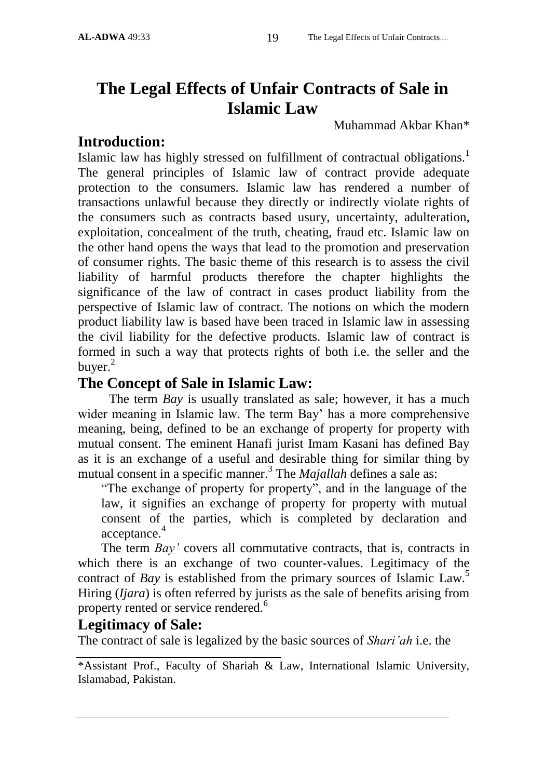#### **AL-ADWA** 49:33 19 The Legal Effects of Unfair Contracts....

# **The Legal Effects of Unfair Contracts of Sale in Islamic Law**

Muhammad Akbar Khan\*

# **Introduction:**

Islamic law has highly stressed on fulfillment of contractual obligations.<sup>1</sup> The general principles of Islamic law of contract provide adequate protection to the consumers. Islamic law has rendered a number of transactions unlawful because they directly or indirectly violate rights of the consumers such as contracts based usury, uncertainty, adulteration, exploitation, concealment of the truth, cheating, fraud etc. Islamic law on the other hand opens the ways that lead to the promotion and preservation of consumer rights. The basic theme of this research is to assess the civil liability of harmful products therefore the chapter highlights the significance of the law of contract in cases product liability from the perspective of Islamic law of contract. The notions on which the modern product liability law is based have been traced in Islamic law in assessing the civil liability for the defective products. Islamic law of contract is formed in such a way that protects rights of both i.e. the seller and the buyer. $^{2}$ 

# **The Concept of Sale in Islamic Law:**

The term *Bay* is usually translated as sale; however, it has a much wider meaning in Islamic law. The term Bay' has a more comprehensive meaning, being, defined to be an exchange of property for property with mutual consent. The eminent Hanafi jurist Imam Kasani has defined Bay as it is an exchange of a useful and desirable thing for similar thing by mutual consent in a specific manner.<sup>3</sup> The *Majallah* defines a sale as:

"The exchange of property for property", and in the language of the law, it signifies an exchange of property for property with mutual consent of the parties, which is completed by declaration and acceptance.<sup>4</sup>

The term *Bay'* covers all commutative contracts, that is, contracts in which there is an exchange of two counter-values. Legitimacy of the contract of *Bay* is established from the primary sources of Islamic Law.<sup>5</sup> Hiring (*Ijara*) is often referred by jurists as the sale of benefits arising from property rented or service rendered.<sup>6</sup>

# **Legitimacy of Sale:**

The contract of sale is legalized by the basic sources of *Shari"ah* i.e. the

<sup>\*</sup>Assistant Prof., Faculty of Shariah & Law, International Islamic University, Islamabad, Pakistan.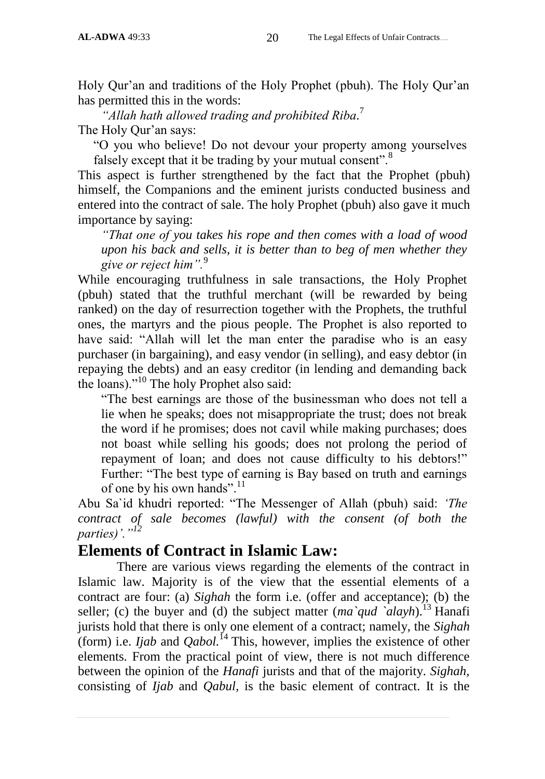Holy Qur'an and traditions of the Holy Prophet (pbuh). The Holy Qur'an has permitted this in the words:

*"Allah hath allowed trading and prohibited Riba.* 7 The Holy Qur'an says:

"O you who believe! Do not devour your property among yourselves falsely except that it be trading by your mutual consent".<sup>8</sup>

This aspect is further strengthened by the fact that the Prophet (pbuh) himself, the Companions and the eminent jurists conducted business and entered into the contract of sale. The holy Prophet (pbuh) also gave it much importance by saying:

*"That one of you takes his rope and then comes with a load of wood upon his back and sells, it is better than to beg of men whether they give or reject him".*<sup>9</sup>

While encouraging truthfulness in sale transactions, the Holy Prophet (pbuh) stated that the truthful merchant (will be rewarded by being ranked) on the day of resurrection together with the Prophets, the truthful ones, the martyrs and the pious people. The Prophet is also reported to have said: "Allah will let the man enter the paradise who is an easy purchaser (in bargaining), and easy vendor (in selling), and easy debtor (in repaying the debts) and an easy creditor (in lending and demanding back the loans)."<sup>10</sup> The holy Prophet also said:

"The best earnings are those of the businessman who does not tell a lie when he speaks; does not misappropriate the trust; does not break the word if he promises; does not cavil while making purchases; does not boast while selling his goods; does not prolong the period of repayment of loan; and does not cause difficulty to his debtors!" Further: "The best type of earning is Bay based on truth and earnings of one by his own hands".<sup>11</sup>

Abu Sa`id khudri reported: "The Messenger of Allah (pbuh) said: *"The contract of sale becomes (lawful) with the consent (of both the parties)"."<sup>12</sup>*

# **Elements of Contract in Islamic Law:**

There are various views regarding the elements of the contract in Islamic law. Majority is of the view that the essential elements of a contract are four: (a) *Sighah* the form i.e. (offer and acceptance); (b) the seller; (c) the buyer and (d) the subject matter  $(ma\hat{q}ud\hat{q}da\hat{v}h)^{13}$  Hanafi jurists hold that there is only one element of a contract; namely, the *Sighah* (form) i.e. *Ijab* and  $Qabol$ <sup>14</sup> This, however, implies the existence of other elements. From the practical point of view, there is not much difference between the opinion of the *Hanafi* jurists and that of the majority. *Sighah,* consisting of *Ijab* and *Qabul,* is the basic element of contract. It is the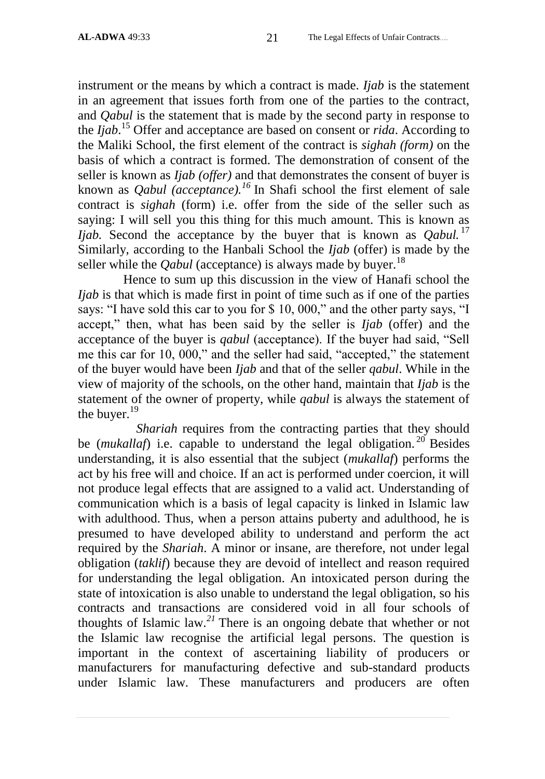instrument or the means by which a contract is made. *Ijab* is the statement in an agreement that issues forth from one of the parties to the contract, and *Qabul* is the statement that is made by the second party in response to the *Ijab*. <sup>15</sup> Offer and acceptance are based on consent or *rida*. According to the Maliki School, the first element of the contract is *sighah (form)* on the basis of which a contract is formed. The demonstration of consent of the seller is known as *Ijab (offer)* and that demonstrates the consent of buyer is known as *Qabul (acceptance).<sup>16</sup>* In Shafi school the first element of sale contract is *sighah* (form) i.e. offer from the side of the seller such as saying: I will sell you this thing for this much amount. This is known as *Ijab.* Second the acceptance by the buyer that is known as *Oabul.* <sup>17</sup> Similarly, according to the Hanbali School the *Ijab* (offer) is made by the seller while the *Oabul* (acceptance) is always made by buyer.<sup>18</sup>

 Hence to sum up this discussion in the view of Hanafi school the *Ijab* is that which is made first in point of time such as if one of the parties says: "I have sold this car to you for \$ 10, 000," and the other party says, "I accept," then, what has been said by the seller is *Ijab* (offer) and the acceptance of the buyer is *qabul* (acceptance). If the buyer had said, "Sell me this car for 10, 000," and the seller had said, "accepted," the statement of the buyer would have been *Ijab* and that of the seller *qabul*. While in the view of majority of the schools, on the other hand, maintain that *Ijab* is the statement of the owner of property, while *qabul* is always the statement of the buyer.<sup>19</sup>

 *Shariah* requires from the contracting parties that they should be *(mukallaf)* i.e. capable to understand the legal obligation.<sup>20</sup> Besides understanding, it is also essential that the subject (*mukallaf*) performs the act by his free will and choice. If an act is performed under coercion, it will not produce legal effects that are assigned to a valid act. Understanding of communication which is a basis of legal capacity is linked in Islamic law with adulthood. Thus, when a person attains puberty and adulthood, he is presumed to have developed ability to understand and perform the act required by the *Shariah*. A minor or insane, are therefore, not under legal obligation (*taklif*) because they are devoid of intellect and reason required for understanding the legal obligation. An intoxicated person during the state of intoxication is also unable to understand the legal obligation, so his contracts and transactions are considered void in all four schools of thoughts of Islamic law.*<sup>21</sup>* There is an ongoing debate that whether or not the Islamic law recognise the artificial legal persons. The question is important in the context of ascertaining liability of producers or manufacturers for manufacturing defective and sub-standard products under Islamic law. These manufacturers and producers are often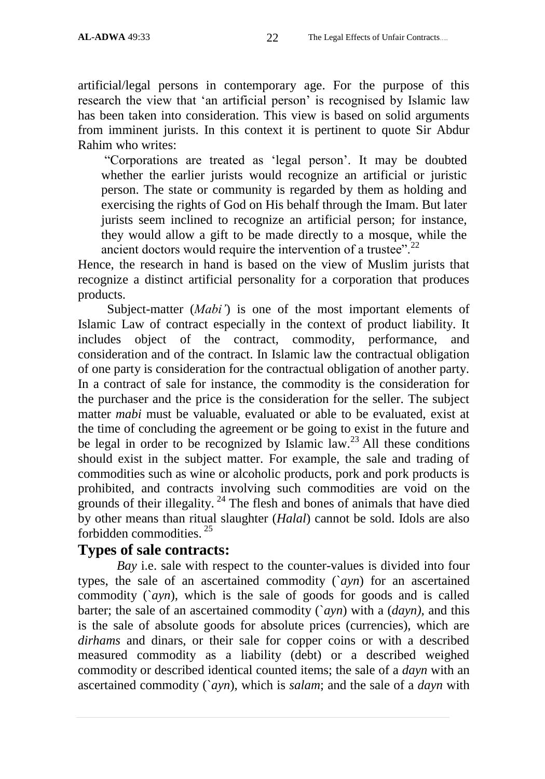artificial/legal persons in contemporary age. For the purpose of this research the view that 'an artificial person' is recognised by Islamic law has been taken into consideration. This view is based on solid arguments from imminent jurists. In this context it is pertinent to quote Sir Abdur Rahim who writes:

"Corporations are treated as "legal person". It may be doubted whether the earlier jurists would recognize an artificial or juristic person. The state or community is regarded by them as holding and exercising the rights of God on His behalf through the Imam. But later jurists seem inclined to recognize an artificial person; for instance, they would allow a gift to be made directly to a mosque, while the ancient doctors would require the intervention of a trustee".<sup>22</sup>

Hence, the research in hand is based on the view of Muslim jurists that recognize a distinct artificial personality for a corporation that produces products.

Subject-matter (*Mabi'*) is one of the most important elements of Islamic Law of contract especially in the context of product liability. It includes object of the contract, commodity, performance, and consideration and of the contract. In Islamic law the contractual obligation of one party is consideration for the contractual obligation of another party. In a contract of sale for instance, the commodity is the consideration for the purchaser and the price is the consideration for the seller. The subject matter *mabi* must be valuable, evaluated or able to be evaluated, exist at the time of concluding the agreement or be going to exist in the future and be legal in order to be recognized by Islamic law.<sup>23</sup> All these conditions should exist in the subject matter. For example, the sale and trading of commodities such as wine or alcoholic products, pork and pork products is prohibited, and contracts involving such commodities are void on the grounds of their illegality.  $24$  The flesh and bones of animals that have died by other means than ritual slaughter (*Halal*) cannot be sold. Idols are also forbidden commodities. <sup>25</sup>

# **Types of sale contracts:**

*Bay* i.e. sale with respect to the counter-values is divided into four types, the sale of an ascertained commodity (`*ayn*) for an ascertained commodity (`*ayn*), which is the sale of goods for goods and is called barter; the sale of an ascertained commodity (`*ayn*) with a (*dayn)*, and this is the sale of absolute goods for absolute prices (currencies), which are *dirhams* and dinars, or their sale for copper coins or with a described measured commodity as a liability (debt) or a described weighed commodity or described identical counted items; the sale of a *dayn* with an ascertained commodity (`*ayn*), which is *salam*; and the sale of a *dayn* with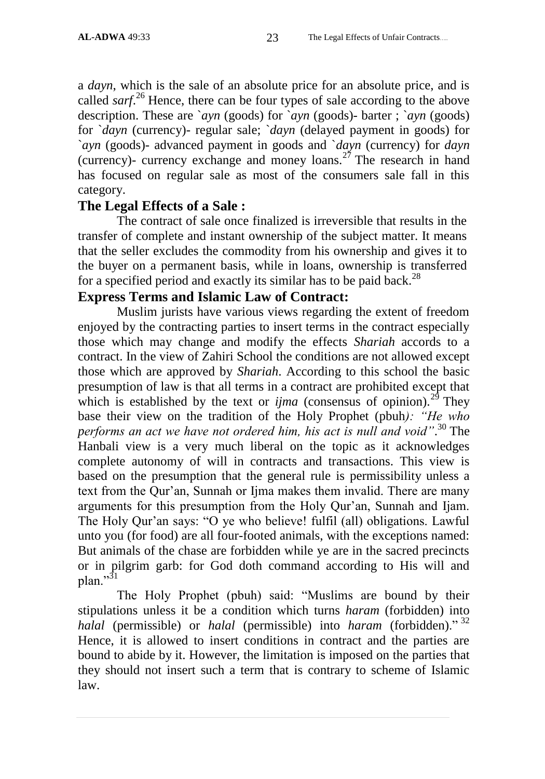a *dayn*, which is the sale of an absolute price for an absolute price, and is called *sarf*. <sup>26</sup> Hence, there can be four types of sale according to the above description. These are `*ayn* (goods) for `*ayn* (goods)- barter ; `*ayn* (goods) for `*dayn* (currency)- regular sale; `*dayn* (delayed payment in goods) for `*ayn* (goods)- advanced payment in goods and `*dayn* (currency) for *dayn* (currency)- currency exchange and money loans.<sup>27</sup> The research in hand has focused on regular sale as most of the consumers sale fall in this category.

# **The Legal Effects of a Sale :**

The contract of sale once finalized is irreversible that results in the transfer of complete and instant ownership of the subject matter. It means that the seller excludes the commodity from his ownership and gives it to the buyer on a permanent basis, while in loans, ownership is transferred for a specified period and exactly its similar has to be paid back.<sup>28</sup>

# **Express Terms and Islamic Law of Contract:**

Muslim jurists have various views regarding the extent of freedom enjoyed by the contracting parties to insert terms in the contract especially those which may change and modify the effects *Shariah* accords to a contract. In the view of Zahiri School the conditions are not allowed except those which are approved by *Shariah*. According to this school the basic presumption of law is that all terms in a contract are prohibited except that which is established by the text or  $\lim a$  (consensus of opinion).<sup>29</sup> They base their view on the tradition of the Holy Prophet (pbuh*): "He who performs an act we have not ordered him, his act is null and void"*. <sup>30</sup> The Hanbali view is a very much liberal on the topic as it acknowledges complete autonomy of will in contracts and transactions. This view is based on the presumption that the general rule is permissibility unless a text from the Qur'an, Sunnah or Ijma makes them invalid. There are many arguments for this presumption from the Holy Qur"an, Sunnah and Ijam. The Holy Qur"an says: "O ye who believe! fulfil (all) obligations. Lawful unto you (for food) are all four-footed animals, with the exceptions named: But animals of the chase are forbidden while ye are in the sacred precincts or in pilgrim garb: for God doth command according to His will and plan."31

The Holy Prophet (pbuh) said: "Muslims are bound by their stipulations unless it be a condition which turns *haram* (forbidden) into *halal* (permissible) or *halal* (permissible) into *haram* (forbidden)." <sup>32</sup> Hence, it is allowed to insert conditions in contract and the parties are bound to abide by it. However, the limitation is imposed on the parties that they should not insert such a term that is contrary to scheme of Islamic law.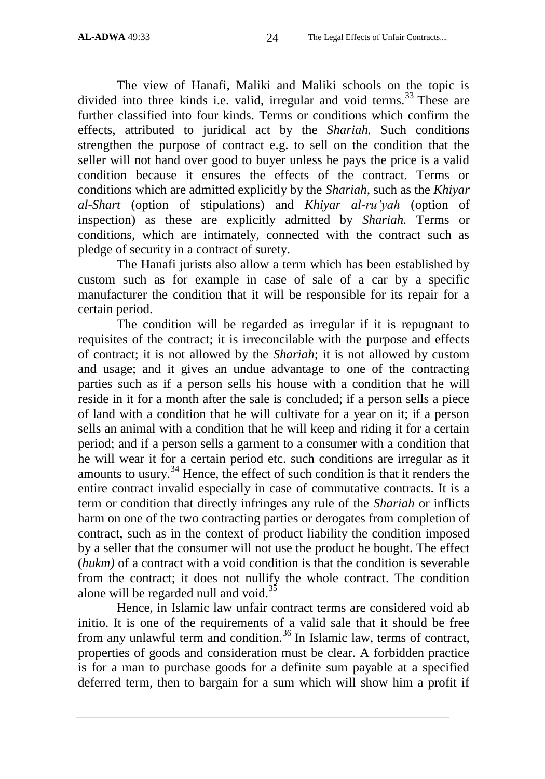The view of Hanafi, Maliki and Maliki schools on the topic is divided into three kinds i.e. valid, irregular and void terms.<sup>33</sup> These are further classified into four kinds. Terms or conditions which confirm the effects, attributed to juridical act by the *Shariah.* Such conditions strengthen the purpose of contract e.g. to sell on the condition that the seller will not hand over good to buyer unless he pays the price is a valid condition because it ensures the effects of the contract. Terms or conditions which are admitted explicitly by the *Shariah,* such as the *Khiyar al-Shart* (option of stipulations) and *Khiyar al-ru"yah* (option of inspection) as these are explicitly admitted by *Shariah.* Terms or conditions, which are intimately, connected with the contract such as pledge of security in a contract of surety.

The Hanafi jurists also allow a term which has been established by custom such as for example in case of sale of a car by a specific manufacturer the condition that it will be responsible for its repair for a certain period.

The condition will be regarded as irregular if it is repugnant to requisites of the contract; it is irreconcilable with the purpose and effects of contract; it is not allowed by the *Shariah*; it is not allowed by custom and usage; and it gives an undue advantage to one of the contracting parties such as if a person sells his house with a condition that he will reside in it for a month after the sale is concluded; if a person sells a piece of land with a condition that he will cultivate for a year on it; if a person sells an animal with a condition that he will keep and riding it for a certain period; and if a person sells a garment to a consumer with a condition that he will wear it for a certain period etc. such conditions are irregular as it amounts to usury.<sup>34</sup> Hence, the effect of such condition is that it renders the entire contract invalid especially in case of commutative contracts. It is a term or condition that directly infringes any rule of the *Shariah* or inflicts harm on one of the two contracting parties or derogates from completion of contract, such as in the context of product liability the condition imposed by a seller that the consumer will not use the product he bought. The effect (*hukm)* of a contract with a void condition is that the condition is severable from the contract; it does not nullify the whole contract. The condition alone will be regarded null and void.<sup>35</sup>

Hence, in Islamic law unfair contract terms are considered void ab initio. It is one of the requirements of a valid sale that it should be free from any unlawful term and condition.<sup>36</sup> In Islamic law, terms of contract, properties of goods and consideration must be clear. A forbidden practice is for a man to purchase goods for a definite sum payable at a specified deferred term, then to bargain for a sum which will show him a profit if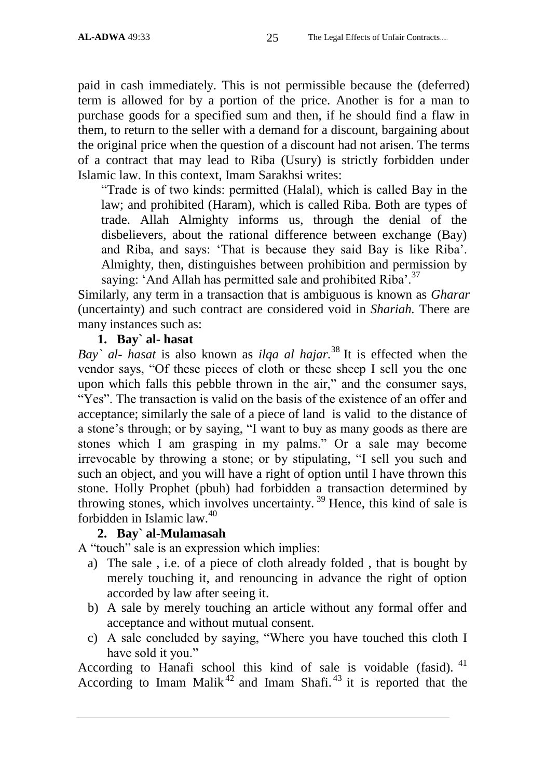paid in cash immediately. This is not permissible because the (deferred) term is allowed for by a portion of the price. Another is for a man to purchase goods for a specified sum and then, if he should find a flaw in them, to return to the seller with a demand for a discount, bargaining about the original price when the question of a discount had not arisen. The terms of a contract that may lead to Riba (Usury) is strictly forbidden under Islamic law. In this context, Imam Sarakhsi writes:

"Trade is of two kinds: permitted (Halal), which is called Bay in the law; and prohibited (Haram), which is called Riba. Both are types of trade. Allah Almighty informs us, through the denial of the disbelievers, about the rational difference between exchange (Bay) and Riba, and says: "That is because they said Bay is like Riba". Almighty, then, distinguishes between prohibition and permission by saying: 'And Allah has permitted sale and prohibited Riba'.<sup>37</sup>

Similarly, any term in a transaction that is ambiguous is known as *Gharar* (uncertainty) and such contract are considered void in *Shariah.* There are many instances such as:

#### **1. Bay` al- hasat**

*Bay` al- hasat* is also known as *ilqa al hajar.*<sup>38</sup> It is effected when the vendor says, "Of these pieces of cloth or these sheep I sell you the one upon which falls this pebble thrown in the air," and the consumer says, "Yes". The transaction is valid on the basis of the existence of an offer and acceptance; similarly the sale of a piece of land is valid to the distance of a stone's through; or by saying, "I want to buy as many goods as there are stones which I am grasping in my palms." Or a sale may become irrevocable by throwing a stone; or by stipulating, "I sell you such and such an object, and you will have a right of option until I have thrown this stone. Holly Prophet (pbuh) had forbidden a transaction determined by throwing stones, which involves uncertainty.<sup>39</sup> Hence, this kind of sale is forbidden in Islamic law.<sup>40</sup>

### **2. Bay` al-Mulamasah**

A "touch" sale is an expression which implies:

- a) The sale , i.e. of a piece of cloth already folded , that is bought by merely touching it, and renouncing in advance the right of option accorded by law after seeing it.
- b) A sale by merely touching an article without any formal offer and acceptance and without mutual consent.
- c) A sale concluded by saying, "Where you have touched this cloth I have sold it you."

According to Hanafi school this kind of sale is voidable (fasid).  $41$ According to Imam Malik<sup>42</sup> and Imam Shafi.<sup>43</sup> it is reported that the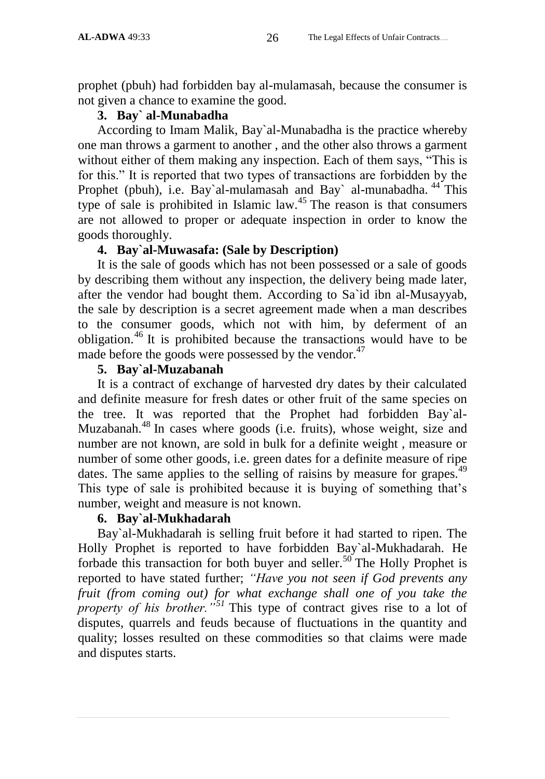prophet (pbuh) had forbidden bay al-mulamasah, because the consumer is not given a chance to examine the good.

#### **3. Bay` al-Munabadha**

According to Imam Malik, Bay`al-Munabadha is the practice whereby one man throws a garment to another , and the other also throws a garment without either of them making any inspection. Each of them says, "This is for this." It is reported that two types of transactions are forbidden by the Prophet (pbuh), i.e. Bay`al-mulamasah and Bay` al-munabadha.  $44$  This type of sale is prohibited in Islamic law.<sup>45</sup> The reason is that consumers are not allowed to proper or adequate inspection in order to know the goods thoroughly.

#### **4. Bay`al-Muwasafa: (Sale by Description)**

It is the sale of goods which has not been possessed or a sale of goods by describing them without any inspection, the delivery being made later, after the vendor had bought them. According to Sa`id ibn al-Musayyab, the sale by description is a secret agreement made when a man describes to the consumer goods, which not with him, by deferment of an obligation.<sup>46</sup> It is prohibited because the transactions would have to be made before the goods were possessed by the vendor. $47$ 

#### **5. Bay`al-Muzabanah**

It is a contract of exchange of harvested dry dates by their calculated and definite measure for fresh dates or other fruit of the same species on the tree. It was reported that the Prophet had forbidden Bay`al-Muzabanah.<sup>48</sup> In cases where goods (i.e. fruits), whose weight, size and number are not known, are sold in bulk for a definite weight , measure or number of some other goods, i.e. green dates for a definite measure of ripe dates. The same applies to the selling of raisins by measure for grapes.<sup>49</sup> This type of sale is prohibited because it is buying of something that"s number, weight and measure is not known.

#### **6. Bay`al-Mukhadarah**

Bay`al-Mukhadarah is selling fruit before it had started to ripen. The Holly Prophet is reported to have forbidden Bay`al-Mukhadarah. He forbade this transaction for both buyer and seller.<sup>50</sup> The Holly Prophet is reported to have stated further; *"Have you not seen if God prevents any fruit (from coming out) for what exchange shall one of you take the property of his brother.*<sup>"<sup>51</sup> This type of contract gives rise to a lot of</sup> disputes, quarrels and feuds because of fluctuations in the quantity and quality; losses resulted on these commodities so that claims were made and disputes starts.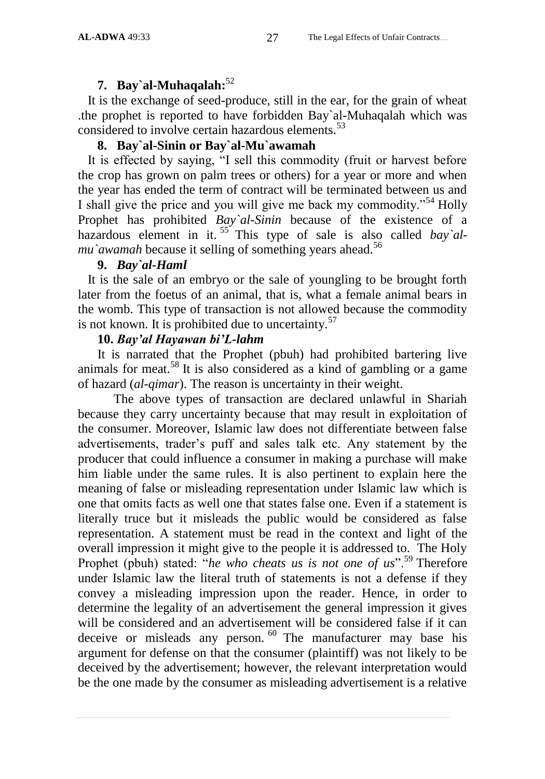#### **7. Bay`al-Muhaqalah:**<sup>52</sup>

 It is the exchange of seed-produce, still in the ear, for the grain of wheat .the prophet is reported to have forbidden Bay`al-Muhaqalah which was considered to involve certain hazardous elements.<sup>53</sup>

#### **8. Bay`al-Sinin or Bay`al-Mu`awamah**

 It is effected by saying, "I sell this commodity (fruit or harvest before the crop has grown on palm trees or others) for a year or more and when the year has ended the term of contract will be terminated between us and I shall give the price and you will give me back my commodity."<sup>54</sup> Holly Prophet has prohibited *Bay`al-Sinin* because of the existence of a hazardous element in it.<sup>55</sup> This type of sale is also called *bay*'al*mu*'*awamah* because it selling of something years ahead.<sup>56</sup>

#### **9.** *Bay`al-Haml*

 It is the sale of an embryo or the sale of youngling to be brought forth later from the foetus of an animal, that is, what a female animal bears in the womb. This type of transaction is not allowed because the commodity is not known. It is prohibited due to uncertainty.<sup>57</sup>

#### **10.** *Bay'al Hayawan bi'L-lahm*

 It is narrated that the Prophet (pbuh) had prohibited bartering live animals for meat.<sup>58</sup> It is also considered as a kind of gambling or a game of hazard (*al-qimar*). The reason is uncertainty in their weight.

 The above types of transaction are declared unlawful in Shariah because they carry uncertainty because that may result in exploitation of the consumer. Moreover, Islamic law does not differentiate between false advertisements, trader"s puff and sales talk etc. Any statement by the producer that could influence a consumer in making a purchase will make him liable under the same rules. It is also pertinent to explain here the meaning of false or misleading representation under Islamic law which is one that omits facts as well one that states false one. Even if a statement is literally truce but it misleads the public would be considered as false representation. A statement must be read in the context and light of the overall impression it might give to the people it is addressed to. The Holy Prophet (pbuh) stated: "*he who cheats us is not one of us*".<sup>59</sup> Therefore under Islamic law the literal truth of statements is not a defense if they convey a misleading impression upon the reader. Hence, in order to determine the legality of an advertisement the general impression it gives will be considered and an advertisement will be considered false if it can deceive or misleads any person.<sup>60</sup> The manufacturer may base his argument for defense on that the consumer (plaintiff) was not likely to be deceived by the advertisement; however, the relevant interpretation would be the one made by the consumer as misleading advertisement is a relative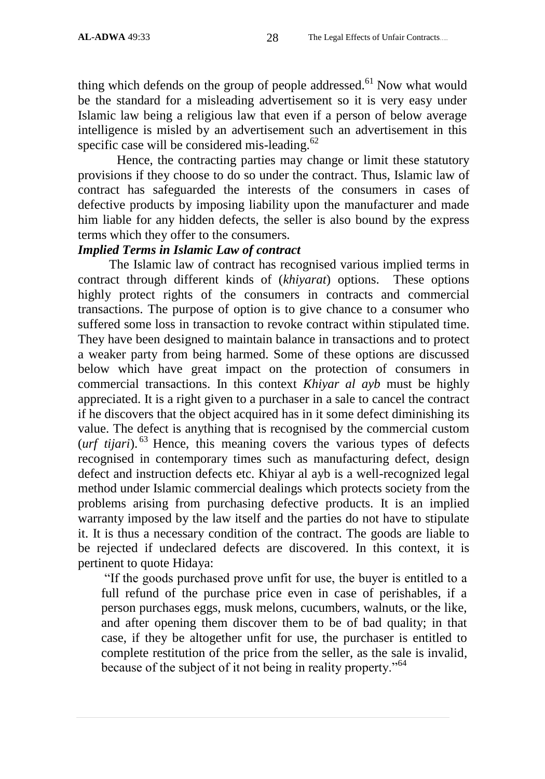thing which defends on the group of people addressed.<sup>61</sup> Now what would be the standard for a misleading advertisement so it is very easy under Islamic law being a religious law that even if a person of below average intelligence is misled by an advertisement such an advertisement in this specific case will be considered mis-leading. $62$ 

Hence, the contracting parties may change or limit these statutory provisions if they choose to do so under the contract. Thus, Islamic law of contract has safeguarded the interests of the consumers in cases of defective products by imposing liability upon the manufacturer and made him liable for any hidden defects, the seller is also bound by the express terms which they offer to the consumers.

#### *Implied Terms in Islamic Law of contract*

The Islamic law of contract has recognised various implied terms in contract through different kinds of (*khiyarat*) options. These options highly protect rights of the consumers in contracts and commercial transactions. The purpose of option is to give chance to a consumer who suffered some loss in transaction to revoke contract within stipulated time. They have been designed to maintain balance in transactions and to protect a weaker party from being harmed. Some of these options are discussed below which have great impact on the protection of consumers in commercial transactions. In this context *Khiyar al ayb* must be highly appreciated. It is a right given to a purchaser in a sale to cancel the contract if he discovers that the object acquired has in it some defect diminishing its value. The defect is anything that is recognised by the commercial custom  $(urf~tijari)$ <sup>63</sup> Hence, this meaning covers the various types of defects recognised in contemporary times such as manufacturing defect, design defect and instruction defects etc. Khiyar al ayb is a well-recognized legal method under Islamic commercial dealings which protects society from the problems arising from purchasing defective products. It is an implied warranty imposed by the law itself and the parties do not have to stipulate it. It is thus a necessary condition of the contract. The goods are liable to be rejected if undeclared defects are discovered. In this context, it is pertinent to quote Hidaya:

"If the goods purchased prove unfit for use, the buyer is entitled to a full refund of the purchase price even in case of perishables, if a person purchases eggs, musk melons, cucumbers, walnuts, or the like, and after opening them discover them to be of bad quality; in that case, if they be altogether unfit for use, the purchaser is entitled to complete restitution of the price from the seller, as the sale is invalid, because of the subject of it not being in reality property."<sup>64</sup>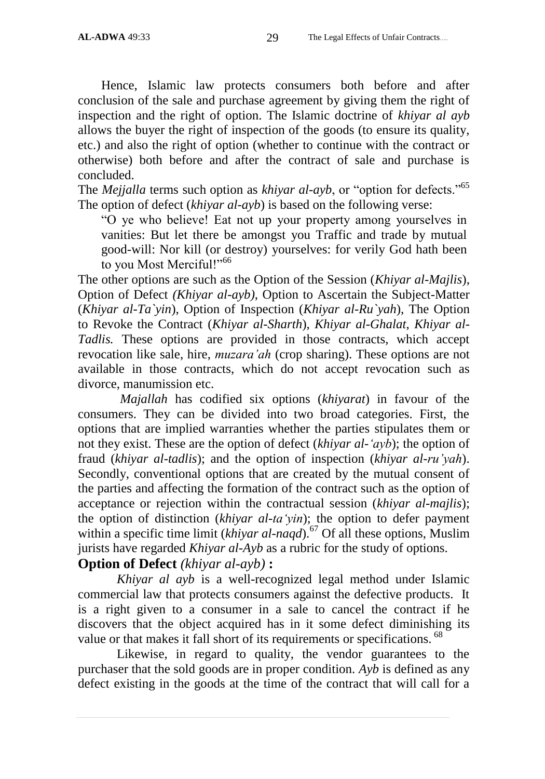Hence, Islamic law protects consumers both before and after conclusion of the sale and purchase agreement by giving them the right of inspection and the right of option. The Islamic doctrine of *khiyar al ayb* allows the buyer the right of inspection of the goods (to ensure its quality, etc.) and also the right of option (whether to continue with the contract or otherwise) both before and after the contract of sale and purchase is concluded.

The *Mejjalla* terms such option as *khiyar al-ayb*, or "option for defects."<sup>65</sup> The option of defect (*khiyar al-ayb*) is based on the following verse:

"O ye who believe! Eat not up your property among yourselves in vanities: But let there be amongst you Traffic and trade by mutual good-will: Nor kill (or destroy) yourselves: for verily God hath been to you Most Merciful!"<sup>66</sup>

The other options are such as the Option of the Session (*Khiyar al-Majlis*), Option of Defect *(Khiyar al-ayb)*, Option to Ascertain the Subject-Matter (*Khiyar al-Ta`yin*), Option of Inspection (*Khiyar al-Ru`yah*), The Option to Revoke the Contract (*Khiyar al-Sharth*), *Khiyar al-Ghalat*, *Khiyar al-Tadlis.* These options are provided in those contracts, which accept revocation like sale, hire, *muzara"ah* (crop sharing). These options are not available in those contracts, which do not accept revocation such as divorce, manumission etc.

*Majallah* has codified six options (*khiyarat*) in favour of the consumers. They can be divided into two broad categories. First, the options that are implied warranties whether the parties stipulates them or not they exist. These are the option of defect (*khiyar al-"ayb*); the option of fraud (*khiyar al-tadlis*); and the option of inspection (*khiyar al-ru"yah*). Secondly, conventional options that are created by the mutual consent of the parties and affecting the formation of the contract such as the option of acceptance or rejection within the contractual session (*khiyar al-majlis*); the option of distinction (*khiyar al-ta'yin*); the option to defer payment within a specific time limit (*khiyar al-naqd*).<sup>67</sup> Of all these options, Muslim jurists have regarded *Khiyar al-Ayb* as a rubric for the study of options.

# **Option of Defect** *(khiyar al-ayb)* **:**

*Khiyar al ayb* is a well-recognized legal method under Islamic commercial law that protects consumers against the defective products. It is a right given to a consumer in a sale to cancel the contract if he discovers that the object acquired has in it some defect diminishing its value or that makes it fall short of its requirements or specifications. <sup>68</sup>

Likewise, in regard to quality, the vendor guarantees to the purchaser that the sold goods are in proper condition. *Ayb* is defined as any defect existing in the goods at the time of the contract that will call for a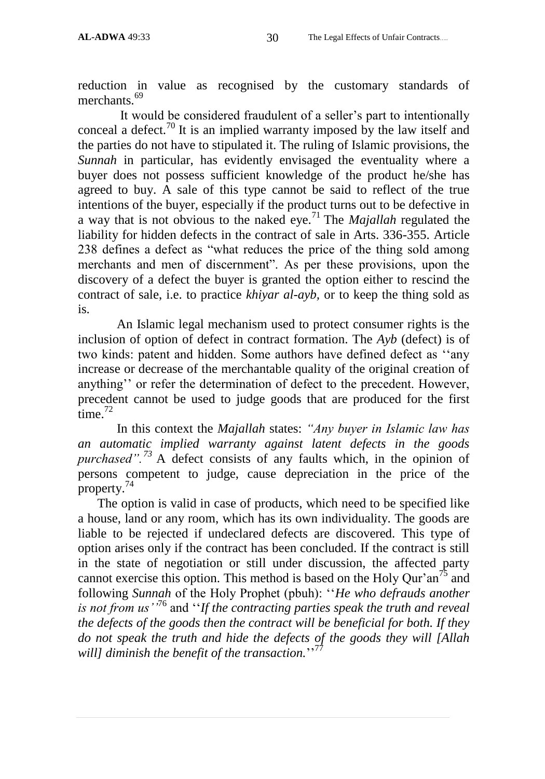reduction in value as recognised by the customary standards of merchants.<sup>69</sup>

It would be considered fraudulent of a seller"s part to intentionally conceal a defect.<sup>70</sup> It is an implied warranty imposed by the law itself and the parties do not have to stipulated it. The ruling of Islamic provisions, the *Sunnah* in particular, has evidently envisaged the eventuality where a buyer does not possess sufficient knowledge of the product he/she has agreed to buy. A sale of this type cannot be said to reflect of the true intentions of the buyer, especially if the product turns out to be defective in a way that is not obvious to the naked eye.<sup>71</sup> The *Majallah* regulated the liability for hidden defects in the contract of sale in Arts. 336-355. Article 238 defines a defect as "what reduces the price of the thing sold among merchants and men of discernment". As per these provisions, upon the discovery of a defect the buyer is granted the option either to rescind the contract of sale, i.e. to practice *khiyar al-ayb,* or to keep the thing sold as is.

An Islamic legal mechanism used to protect consumer rights is the inclusion of option of defect in contract formation. The *Ayb* (defect) is of two kinds: patent and hidden. Some authors have defined defect as ""any increase or decrease of the merchantable quality of the original creation of anything" or refer the determination of defect to the precedent. However, precedent cannot be used to judge goods that are produced for the first time.<sup>72</sup>

In this context the *Majallah* states: *"Any buyer in Islamic law has an automatic implied warranty against latent defects in the goods purchased".<sup>73</sup>* A defect consists of any faults which, in the opinion of persons competent to judge, cause depreciation in the price of the property.<sup>74</sup>

The option is valid in case of products, which need to be specified like a house, land or any room, which has its own individuality. The goods are liable to be rejected if undeclared defects are discovered. This type of option arises only if the contract has been concluded. If the contract is still in the state of negotiation or still under discussion, the affected party cannot exercise this option. This method is based on the Holy Qur'an<sup>75</sup> and following *Sunnah* of the Holy Prophet (pbuh): ""*He who defrauds another is not from us""*<sup>76</sup> and ""*If the contracting parties speak the truth and reveal the defects of the goods then the contract will be beneficial for both. If they do not speak the truth and hide the defects of the goods they will [Allah*  will] diminish the benefit of the transaction."<sup>77</sup>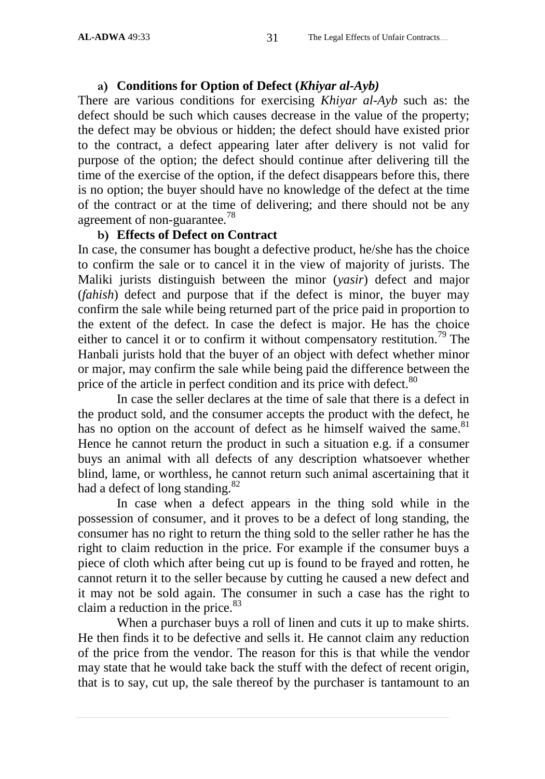#### **a) Conditions for Option of Defect (***Khiyar al-Ayb)*

There are various conditions for exercising *Khiyar al-Ayb* such as: the defect should be such which causes decrease in the value of the property; the defect may be obvious or hidden; the defect should have existed prior to the contract, a defect appearing later after delivery is not valid for purpose of the option; the defect should continue after delivering till the time of the exercise of the option, if the defect disappears before this, there is no option; the buyer should have no knowledge of the defect at the time of the contract or at the time of delivering; and there should not be any agreement of non-guarantee.<sup>78</sup>

#### **b) Effects of Defect on Contract**

In case, the consumer has bought a defective product, he/she has the choice to confirm the sale or to cancel it in the view of majority of jurists. The Maliki jurists distinguish between the minor (*yasir*) defect and major (*fahish*) defect and purpose that if the defect is minor, the buyer may confirm the sale while being returned part of the price paid in proportion to the extent of the defect. In case the defect is major. He has the choice either to cancel it or to confirm it without compensatory restitution.<sup>79</sup> The Hanbali jurists hold that the buyer of an object with defect whether minor or major, may confirm the sale while being paid the difference between the price of the article in perfect condition and its price with defect.<sup>80</sup>

In case the seller declares at the time of sale that there is a defect in the product sold, and the consumer accepts the product with the defect, he has no option on the account of defect as he himself waived the same.<sup>81</sup> Hence he cannot return the product in such a situation e.g. if a consumer buys an animal with all defects of any description whatsoever whether blind, lame, or worthless, he cannot return such animal ascertaining that it had a defect of long standing.<sup>82</sup>

In case when a defect appears in the thing sold while in the possession of consumer, and it proves to be a defect of long standing, the consumer has no right to return the thing sold to the seller rather he has the right to claim reduction in the price. For example if the consumer buys a piece of cloth which after being cut up is found to be frayed and rotten, he cannot return it to the seller because by cutting he caused a new defect and it may not be sold again. The consumer in such a case has the right to claim a reduction in the price.<sup>83</sup>

When a purchaser buys a roll of linen and cuts it up to make shirts. He then finds it to be defective and sells it. He cannot claim any reduction of the price from the vendor. The reason for this is that while the vendor may state that he would take back the stuff with the defect of recent origin, that is to say, cut up, the sale thereof by the purchaser is tantamount to an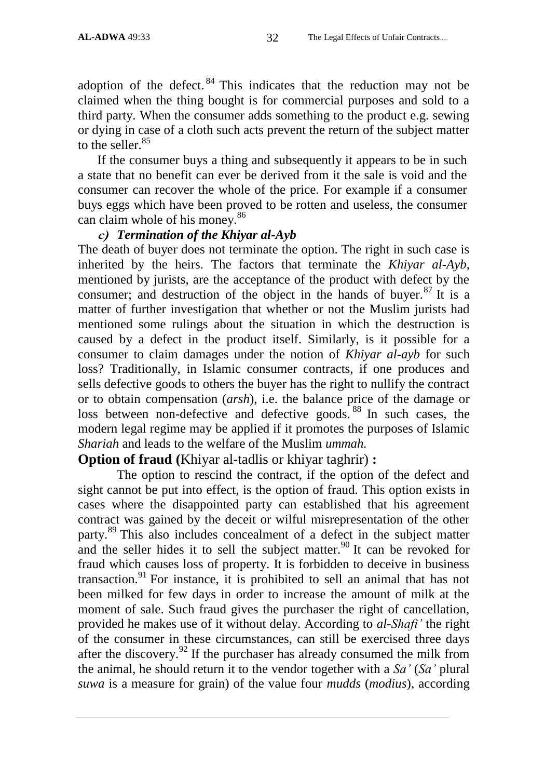adoption of the defect.  $84$  This indicates that the reduction may not be claimed when the thing bought is for commercial purposes and sold to a third party. When the consumer adds something to the product e.g. sewing or dying in case of a cloth such acts prevent the return of the subject matter to the seller. $85$ 

If the consumer buys a thing and subsequently it appears to be in such a state that no benefit can ever be derived from it the sale is void and the consumer can recover the whole of the price. For example if a consumer buys eggs which have been proved to be rotten and useless, the consumer can claim whole of his money.<sup>86</sup>

#### **c)** *Termination of the Khiyar al-Ayb*

The death of buyer does not terminate the option. The right in such case is inherited by the heirs. The factors that terminate the *Khiyar al-Ayb,* mentioned by jurists, are the acceptance of the product with defect by the consumer; and destruction of the object in the hands of buyer.<sup>87</sup> It is a matter of further investigation that whether or not the Muslim jurists had mentioned some rulings about the situation in which the destruction is caused by a defect in the product itself. Similarly, is it possible for a consumer to claim damages under the notion of *Khiyar al-ayb* for such loss? Traditionally, in Islamic consumer contracts, if one produces and sells defective goods to others the buyer has the right to nullify the contract or to obtain compensation (*arsh*), i.e. the balance price of the damage or loss between non-defective and defective goods.<sup>88</sup> In such cases, the modern legal regime may be applied if it promotes the purposes of Islamic *Shariah* and leads to the welfare of the Muslim *ummah.*

### **Option of fraud (**Khiyar al-tadlis or khiyar taghrir) **:**

The option to rescind the contract, if the option of the defect and sight cannot be put into effect, is the option of fraud. This option exists in cases where the disappointed party can established that his agreement contract was gained by the deceit or wilful misrepresentation of the other party.<sup>89</sup> This also includes concealment of a defect in the subject matter and the seller hides it to sell the subject matter.<sup>90</sup> It can be revoked for fraud which causes loss of property. It is forbidden to deceive in business transaction.<sup>91</sup> For instance, it is prohibited to sell an animal that has not been milked for few days in order to increase the amount of milk at the moment of sale. Such fraud gives the purchaser the right of cancellation, provided he makes use of it without delay. According to *al-Shafi"* the right of the consumer in these circumstances, can still be exercised three days after the discovery.<sup>92</sup> If the purchaser has already consumed the milk from the animal, he should return it to the vendor together with a *Sa"* (*Sa"* plural *suwa* is a measure for grain) of the value four *mudds* (*modius*), according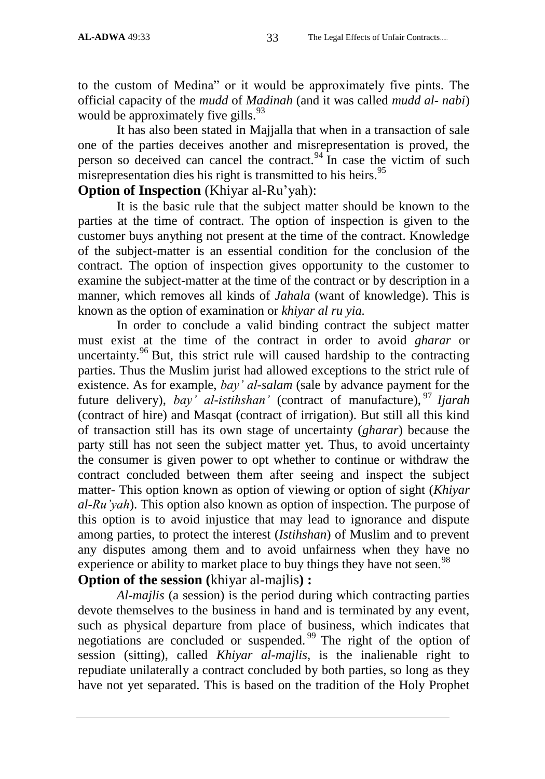to the custom of Medina" or it would be approximately five pints. The official capacity of the *mudd* of *Madinah* (and it was called *mudd al- nabi*) would be approximately five gills. $93$ 

It has also been stated in Majjalla that when in a transaction of sale one of the parties deceives another and misrepresentation is proved, the person so deceived can cancel the contract.<sup>94</sup> In case the victim of such misrepresentation dies his right is transmitted to his heirs.<sup>95</sup>

# **Option of Inspection** (Khiyar al-Ru'yah):

It is the basic rule that the subject matter should be known to the parties at the time of contract. The option of inspection is given to the customer buys anything not present at the time of the contract. Knowledge of the subject-matter is an essential condition for the conclusion of the contract. The option of inspection gives opportunity to the customer to examine the subject-matter at the time of the contract or by description in a manner, which removes all kinds of *Jahala* (want of knowledge). This is known as the option of examination or *khiyar al ru yia.*

In order to conclude a valid binding contract the subject matter must exist at the time of the contract in order to avoid *gharar* or uncertainty.<sup>96</sup> But, this strict rule will caused hardship to the contracting parties. Thus the Muslim jurist had allowed exceptions to the strict rule of existence. As for example, *bay" al-salam* (sale by advance payment for the future delivery), *bay" al-istihshan"* (contract of manufacture), <sup>97</sup> *Ijarah* (contract of hire) and Masqat (contract of irrigation). But still all this kind of transaction still has its own stage of uncertainty (*gharar*) because the party still has not seen the subject matter yet. Thus, to avoid uncertainty the consumer is given power to opt whether to continue or withdraw the contract concluded between them after seeing and inspect the subject matter- This option known as option of viewing or option of sight (*Khiyar al-Ru"yah*). This option also known as option of inspection. The purpose of this option is to avoid injustice that may lead to ignorance and dispute among parties, to protect the interest (*Istihshan*) of Muslim and to prevent any disputes among them and to avoid unfairness when they have no experience or ability to market place to buy things they have not seen.<sup>98</sup> **Option of the session (**khiyar al-majlis**) :**

*Al-majlis* (a session) is the period during which contracting parties devote themselves to the business in hand and is terminated by any event, such as physical departure from place of business, which indicates that negotiations are concluded or suspended. <sup>99</sup> The right of the option of session (sitting), called *Khiyar al-majlis*, is the inalienable right to repudiate unilaterally a contract concluded by both parties, so long as they have not yet separated. This is based on the tradition of the Holy Prophet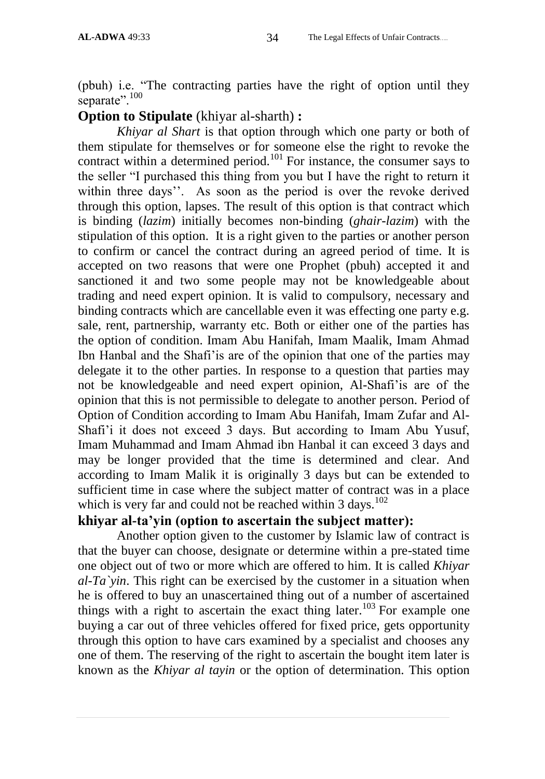(pbuh) i.e. "The contracting parties have the right of option until they separate".<sup>100</sup>

### **Option to Stipulate** (khiyar al-sharth) **:**

*Khiyar al Shart* is that option through which one party or both of them stipulate for themselves or for someone else the right to revoke the contract within a determined period.<sup>101</sup> For instance, the consumer says to the seller "I purchased this thing from you but I have the right to return it within three days". As soon as the period is over the revoke derived through this option, lapses. The result of this option is that contract which is binding (*lazim*) initially becomes non-binding (*ghair-lazim*) with the stipulation of this option. It is a right given to the parties or another person to confirm or cancel the contract during an agreed period of time. It is accepted on two reasons that were one Prophet (pbuh) accepted it and sanctioned it and two some people may not be knowledgeable about trading and need expert opinion. It is valid to compulsory, necessary and binding contracts which are cancellable even it was effecting one party e.g. sale, rent, partnership, warranty etc. Both or either one of the parties has the option of condition. Imam Abu Hanifah, Imam Maalik, Imam Ahmad Ibn Hanbal and the Shafi"is are of the opinion that one of the parties may delegate it to the other parties. In response to a question that parties may not be knowledgeable and need expert opinion, Al-Shafi"is are of the opinion that this is not permissible to delegate to another person. Period of Option of Condition according to Imam Abu Hanifah, Imam Zufar and Al-Shafi"i it does not exceed 3 days. But according to Imam Abu Yusuf, Imam Muhammad and Imam Ahmad ibn Hanbal it can exceed 3 days and may be longer provided that the time is determined and clear. And according to Imam Malik it is originally 3 days but can be extended to sufficient time in case where the subject matter of contract was in a place which is very far and could not be reached within  $3 \text{ days}$ .<sup>102</sup>

# **khiyar al-ta'yin (option to ascertain the subject matter):**

Another option given to the customer by Islamic law of contract is that the buyer can choose, designate or determine within a pre-stated time one object out of two or more which are offered to him. It is called *Khiyar al-Ta`yin*. This right can be exercised by the customer in a situation when he is offered to buy an unascertained thing out of a number of ascertained things with a right to ascertain the exact thing later.<sup>103</sup> For example one buying a car out of three vehicles offered for fixed price, gets opportunity through this option to have cars examined by a specialist and chooses any one of them. The reserving of the right to ascertain the bought item later is known as the *Khiyar al tayin* or the option of determination. This option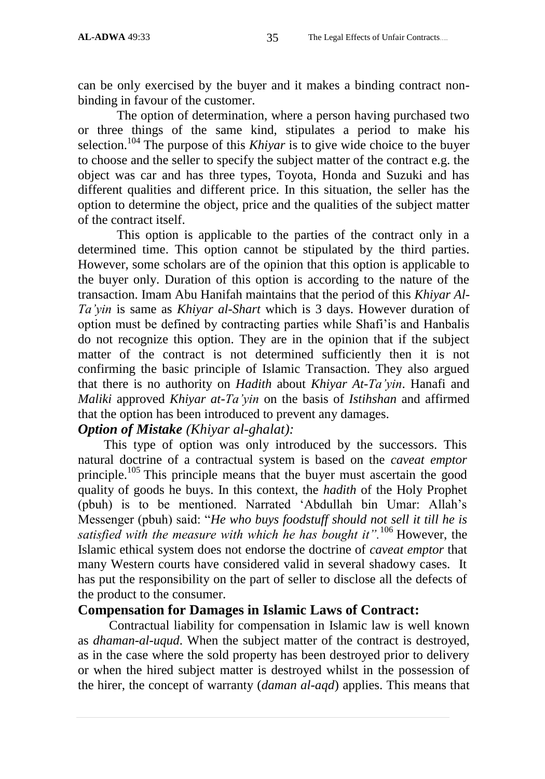can be only exercised by the buyer and it makes a binding contract nonbinding in favour of the customer.

The option of determination, where a person having purchased two or three things of the same kind, stipulates a period to make his selection. <sup>104</sup> The purpose of this *Khiyar* is to give wide choice to the buyer to choose and the seller to specify the subject matter of the contract e.g. the object was car and has three types, Toyota, Honda and Suzuki and has different qualities and different price. In this situation, the seller has the option to determine the object, price and the qualities of the subject matter of the contract itself.

This option is applicable to the parties of the contract only in a determined time. This option cannot be stipulated by the third parties. However, some scholars are of the opinion that this option is applicable to the buyer only. Duration of this option is according to the nature of the transaction. Imam Abu Hanifah maintains that the period of this *Khiyar Al-Ta"yin* is same as *Khiyar al-Shart* which is 3 days. However duration of option must be defined by contracting parties while Shafi"is and Hanbalis do not recognize this option. They are in the opinion that if the subject matter of the contract is not determined sufficiently then it is not confirming the basic principle of Islamic Transaction. They also argued that there is no authority on *Hadith* about *Khiyar At-Ta"yin*. Hanafi and *Maliki* approved *Khiyar at-Ta"yin* on the basis of *Istihshan* and affirmed that the option has been introduced to prevent any damages.

# *Option of Mistake (Khiyar al-ghalat):*

 This type of option was only introduced by the successors. This natural doctrine of a contractual system is based on the *caveat emptor* principle.<sup>105</sup> This principle means that the buyer must ascertain the good quality of goods he buys. In this context, the *hadith* of the Holy Prophet (pbuh) is to be mentioned. Narrated "Abdullah bin Umar: Allah"s Messenger (pbuh) said: "*He who buys foodstuff should not sell it till he is satisfied with the measure with which he has bought it".*<sup>106</sup> However, the Islamic ethical system does not endorse the doctrine of *caveat emptor* that many Western courts have considered valid in several shadowy cases. It has put the responsibility on the part of seller to disclose all the defects of the product to the consumer.

# **Compensation for Damages in Islamic Laws of Contract:**

Contractual liability for compensation in Islamic law is well known as *dhaman-al-uqud*. When the subject matter of the contract is destroyed, as in the case where the sold property has been destroyed prior to delivery or when the hired subject matter is destroyed whilst in the possession of the hirer, the concept of warranty (*daman al-aqd*) applies. This means that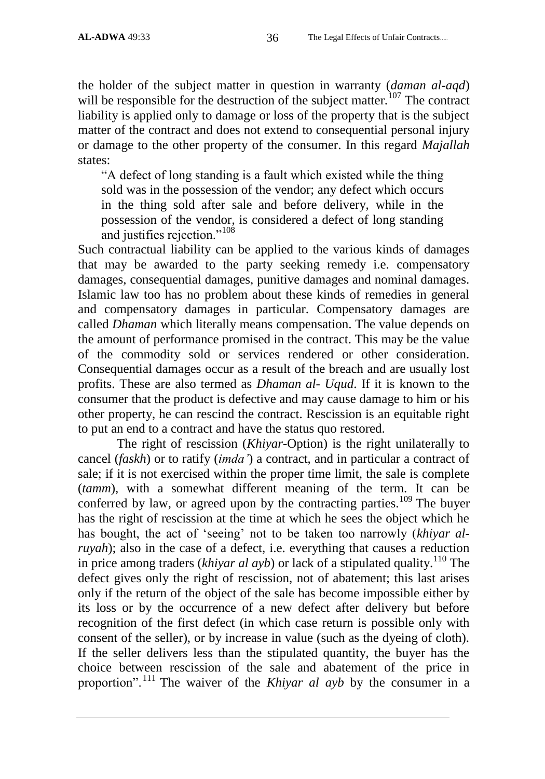the holder of the subject matter in question in warranty (*daman al-aqd*) will be responsible for the destruction of the subject matter.<sup>107</sup> The contract liability is applied only to damage or loss of the property that is the subject matter of the contract and does not extend to consequential personal injury or damage to the other property of the consumer. In this regard *Majallah* states:

"A defect of long standing is a fault which existed while the thing sold was in the possession of the vendor; any defect which occurs in the thing sold after sale and before delivery, while in the possession of the vendor, is considered a defect of long standing and justifies rejection."<sup>108</sup>

Such contractual liability can be applied to the various kinds of damages that may be awarded to the party seeking remedy i.e. compensatory damages, consequential damages, punitive damages and nominal damages. Islamic law too has no problem about these kinds of remedies in general and compensatory damages in particular. Compensatory damages are called *Dhaman* which literally means compensation. The value depends on the amount of performance promised in the contract. This may be the value of the commodity sold or services rendered or other consideration. Consequential damages occur as a result of the breach and are usually lost profits. These are also termed as *Dhaman al- Uqud*. If it is known to the consumer that the product is defective and may cause damage to him or his other property, he can rescind the contract. Rescission is an equitable right to put an end to a contract and have the status quo restored.

The right of rescission (*Khiyar*-Option) is the right unilaterally to cancel (*faskh*) or to ratify (*imda"*) a contract, and in particular a contract of sale; if it is not exercised within the proper time limit, the sale is complete (*tamm*), with a somewhat different meaning of the term. It can be conferred by law, or agreed upon by the contracting parties.<sup>109</sup> The buyer has the right of rescission at the time at which he sees the object which he has bought, the act of "seeing" not to be taken too narrowly (*khiyar alruyah*); also in the case of a defect, i.e. everything that causes a reduction in price among traders (*khiyar al ayb*) or lack of a stipulated quality.<sup>110</sup> The defect gives only the right of rescission, not of abatement; this last arises only if the return of the object of the sale has become impossible either by its loss or by the occurrence of a new defect after delivery but before recognition of the first defect (in which case return is possible only with consent of the seller), or by increase in value (such as the dyeing of cloth). If the seller delivers less than the stipulated quantity, the buyer has the choice between rescission of the sale and abatement of the price in proportion".<sup>111</sup> The waiver of the *Khiyar al ayb* by the consumer in a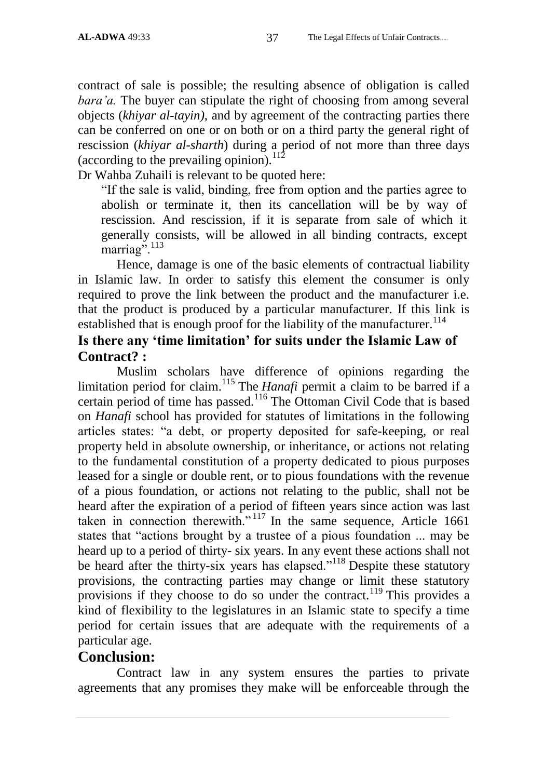contract of sale is possible; the resulting absence of obligation is called *bara'a.* The buyer can stipulate the right of choosing from among several objects (*khiyar al-tayin)*, and by agreement of the contracting parties there can be conferred on one or on both or on a third party the general right of rescission (*khiyar al-sharth*) during a period of not more than three days (according to the prevailing opinion). $112$ 

Dr Wahba Zuhaili is relevant to be quoted here:

"If the sale is valid, binding, free from option and the parties agree to abolish or terminate it, then its cancellation will be by way of rescission. And rescission, if it is separate from sale of which it generally consists, will be allowed in all binding contracts, except marriag".<sup>113</sup>

Hence, damage is one of the basic elements of contractual liability in Islamic law. In order to satisfy this element the consumer is only required to prove the link between the product and the manufacturer i.e. that the product is produced by a particular manufacturer. If this link is established that is enough proof for the liability of the manufacturer.<sup>114</sup>

# **Is there any 'time limitation' for suits under the Islamic Law of Contract? :**

Muslim scholars have difference of opinions regarding the limitation period for claim.<sup>115</sup> The *Hanafi* permit a claim to be barred if a certain period of time has passed.<sup>116</sup> The Ottoman Civil Code that is based on *Hanafi* school has provided for statutes of limitations in the following articles states: "a debt, or property deposited for safe-keeping, or real property held in absolute ownership, or inheritance, or actions not relating to the fundamental constitution of a property dedicated to pious purposes leased for a single or double rent, or to pious foundations with the revenue of a pious foundation, or actions not relating to the public, shall not be heard after the expiration of a period of fifteen years since action was last taken in connection therewith. $v^{117}$  In the same sequence, Article 1661 states that "actions brought by a trustee of a pious foundation ... may be heard up to a period of thirty- six years. In any event these actions shall not be heard after the thirty-six years has elapsed."<sup>118</sup> Despite these statutory provisions, the contracting parties may change or limit these statutory provisions if they choose to do so under the contract.<sup>119</sup> This provides a kind of flexibility to the legislatures in an Islamic state to specify a time period for certain issues that are adequate with the requirements of a particular age.

# **Conclusion:**

Contract law in any system ensures the parties to private agreements that any promises they make will be enforceable through the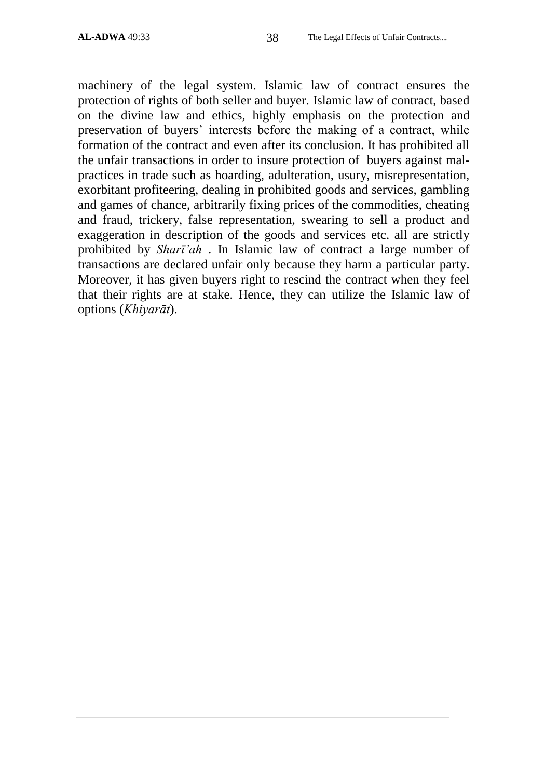machinery of the legal system. Islamic law of contract ensures the protection of rights of both seller and buyer. Islamic law of contract, based on the divine law and ethics, highly emphasis on the protection and preservation of buyers" interests before the making of a contract, while formation of the contract and even after its conclusion. It has prohibited all the unfair transactions in order to insure protection of buyers against malpractices in trade such as hoarding, adulteration, usury, misrepresentation, exorbitant profiteering, dealing in prohibited goods and services, gambling and games of chance, arbitrarily fixing prices of the commodities, cheating and fraud, trickery, false representation, swearing to sell a product and exaggeration in description of the goods and services etc. all are strictly prohibited by *Sharī"ah* . In Islamic law of contract a large number of transactions are declared unfair only because they harm a particular party. Moreover, it has given buyers right to rescind the contract when they feel that their rights are at stake. Hence, they can utilize the Islamic law of options (*Khiyarāt*).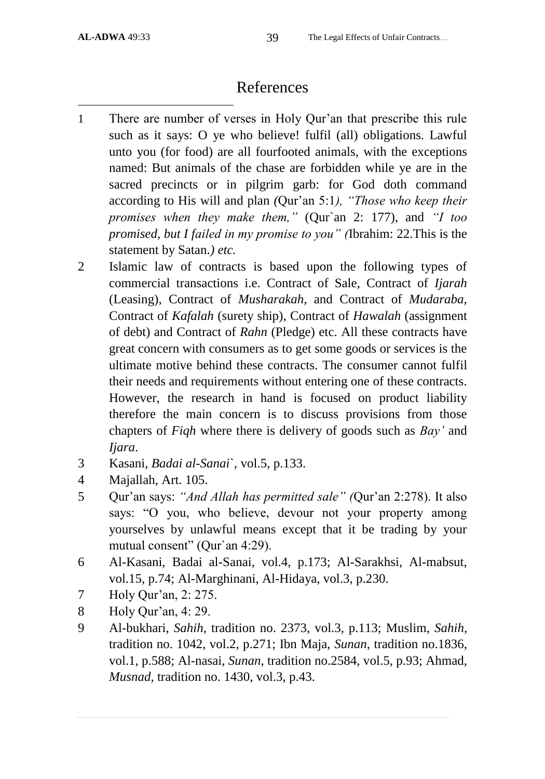# References

- $\overline{a}$ 1 There are number of verses in Holy Qur"an that prescribe this rule such as it says: O ye who believe! fulfil (all) obligations. Lawful unto you (for food) are all fourfooted animals, with the exceptions named: But animals of the chase are forbidden while ye are in the sacred precincts or in pilgrim garb: for God doth command according to His will and plan *(*Qur"an 5:1*), "Those who keep their promises when they make them,"* (Qur`an 2: 177), and *"I too promised, but I failed in my promise to you" (*Ibrahim: 22.This is the statement by Satan.*) etc.*
- 2 Islamic law of contracts is based upon the following types of commercial transactions i.e. Contract of Sale, Contract of *Ijarah* (Leasing), Contract of *Musharakah*, and Contract of *Mudaraba*, Contract of *Kafalah* (surety ship), Contract of *Hawalah* (assignment of debt) and Contract of *Rahn* (Pledge) etc. All these contracts have great concern with consumers as to get some goods or services is the ultimate motive behind these contracts. The consumer cannot fulfil their needs and requirements without entering one of these contracts. However, the research in hand is focused on product liability therefore the main concern is to discuss provisions from those chapters of *Fiqh* where there is delivery of goods such as *Bay"* and *Ijara*.
- 3 Kasani*, Badai al-Sanai*`, vol.5, p.133.
- 4 Majallah, Art. 105.
- 5 Qur"an says: *"And Allah has permitted sale" (*Qur"an 2:278). It also says: "O you, who believe, devour not your property among yourselves by unlawful means except that it be trading by your mutual consent" (Qur`an 4:29).
- 6 Al-Kasani, Badai al-Sanai, vol.4, p.173; Al-Sarakhsi, Al-mabsut, vol.15, p.74; Al-Marghinani, Al-Hidaya, vol.3, p.230.
- 7 Holy Qur"an, 2: 275.
- 8 Holy Qur"an, 4: 29.
- 9 Al-bukhari, *Sahih,* tradition no. 2373, vol.3, p.113; Muslim, *Sahih,* tradition no. 1042, vol.2, p.271; Ibn Maja, *Sunan*, tradition no.1836, vol.1, p.588; Al-nasai, *Sunan*, tradition no.2584, vol.5, p.93; Ahmad, *Musnad,* tradition no. 1430, vol.3, p.43.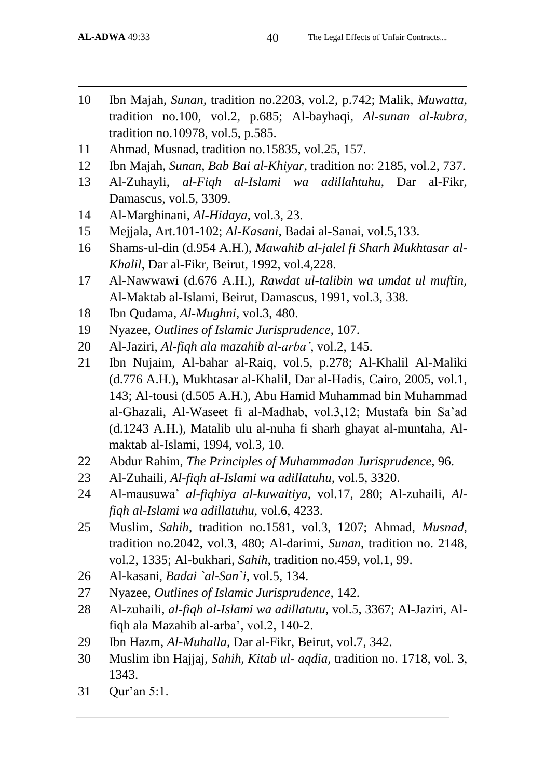- 10 Ibn Majah, *Sunan,* tradition no.2203, vol.2, p.742; Malik, *Muwatta,* tradition no.100, vol.2, p.685; Al-bayhaqi, *Al-sunan al-kubra,* tradition no.10978, vol.5, p.585.
- 11 Ahmad, Musnad, tradition no.15835, vol.25, 157.
- 12 Ibn Majah*, Sunan*, *Bab Bai al-Khiyar*, tradition no: 2185, vol.2, 737.
- 13 Al-Zuhayli, *al-Fiqh al-Islami wa adillahtuhu*, Dar al-Fikr, Damascus, vol.5, 3309.
- 14 Al-Marghinani, *Al-Hidaya,* vol.3, 23.
- 15 Mejjala, Art.101-102; *Al-Kasani,* Badai al-Sanai, vol.5,133.
- 16 Shams-ul-din (d.954 A.H.), *Mawahib al-jalel fi Sharh Mukhtasar al-Khalil,* Dar al-Fikr, Beirut, 1992, vol.4,228.
- 17 Al-Nawwawi (d.676 A.H.), *Rawdat ul-talibin wa umdat ul muftin,* Al-Maktab al-Islami, Beirut, Damascus, 1991, vol.3, 338.
- 18 Ibn Qudama, *Al-Mughni,* vol.3, 480.
- 19 Nyazee, *Outlines of Islamic Jurisprudence*, 107.
- 20 Al-Jaziri, *Al-fiqh ala mazahib al-arba"*, vol.2, 145.
- 21 Ibn Nujaim, Al-bahar al-Raiq, vol.5, p.278; Al-Khalil Al-Maliki (d.776 A.H.), Mukhtasar al-Khalil, Dar al-Hadis, Cairo, 2005, vol.1, 143; Al-tousi (d.505 A.H.), Abu Hamid Muhammad bin Muhammad al-Ghazali, Al-Waseet fi al-Madhab, vol.3,12; Mustafa bin Sa'ad (d.1243 A.H.), Matalib ulu al-nuha fi sharh ghayat al-muntaha, Almaktab al-Islami, 1994, vol.3, 10.
- 22 Abdur Rahim, *The Principles of Muhammadan Jurisprudence,* 96.
- 23 Al-Zuhaili, *Al-fiqh al-Islami wa adillatuhu,* vol.5, 3320.
- 24 Al-mausuwa" *al-fiqhiya al-kuwaitiya,* vol.17, 280; Al-zuhaili, *Alfiqh al-Islami wa adillatuhu,* vol.6, 4233.
- 25 Muslim, *Sahih*, tradition no.1581, vol.3, 1207; Ahmad, *Musnad*, tradition no.2042, vol.3, 480; Al-darimi, *Sunan*, tradition no. 2148, vol.2, 1335; Al-bukhari, *Sahih*, tradition no.459, vol.1, 99.
- 26 Al-kasani, *Badai `al-San`i*, vol.5, 134.
- 27 Nyazee, *Outlines of Islamic Jurisprudence,* 142.
- 28 Al-zuhaili, *al-fiqh al-Islami wa adillatutu,* vol.5, 3367; Al-Jaziri, Alfigh ala Mazahib al-arba', vol.2, 140-2.
- 29 Ibn Hazm, *Al-Muhalla,* Dar al-Fikr, Beirut, vol.7, 342.
- 30 Muslim ibn Hajjaj, *Sahih, Kitab ul- aqdia,* tradition no. 1718, vol. 3, 1343.
- 31 Qur"an 5:1.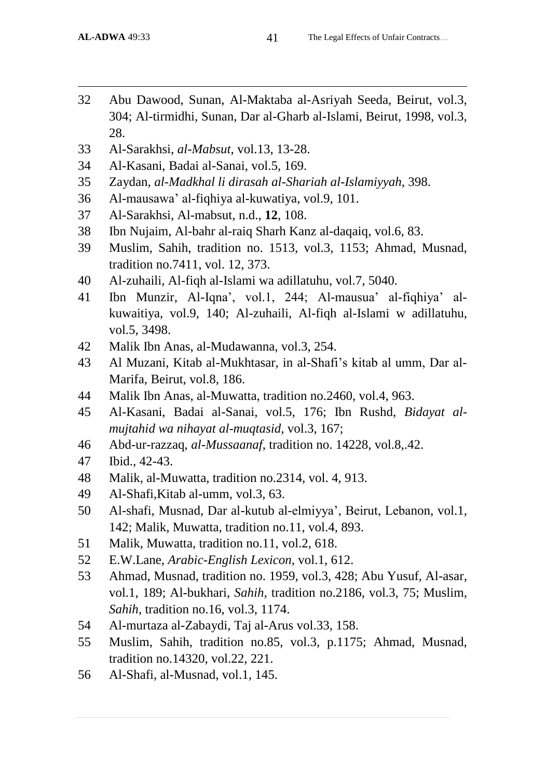- Abu Dawood, Sunan, Al-Maktaba al-Asriyah Seeda, Beirut, vol.3, 304; Al-tirmidhi, Sunan, Dar al-Gharb al-Islami, Beirut, 1998, vol.3, 28.
- Al-Sarakhsi, *al-Mabsut*, vol.13, 13-28.
- Al-Kasani, Badai al-Sanai, vol.5, 169.
- Zaydan, *al-Madkhal li dirasah al-Shariah al-Islamiyyah*, 398.
- Al-mausawa" al-fiqhiya al-kuwatiya, vol.9, 101.
- Al-Sarakhsi, Al-mabsut, n.d., **12**, 108.
- Ibn Nujaim, Al-bahr al-raiq Sharh Kanz al-daqaiq, vol.6, 83.
- Muslim, Sahih, tradition no. 1513, vol.3, 1153; Ahmad, Musnad, tradition no.7411, vol. 12, 373.
- Al-zuhaili, Al-fiqh al-Islami wa adillatuhu, vol.7, 5040.
- Ibn Munzir, Al-Iqna", vol.1, 244; Al-mausua" al-fiqhiya" alkuwaitiya, vol.9, 140; Al-zuhaili, Al-fiqh al-Islami w adillatuhu, vol.5, 3498.
- Malik Ibn Anas, al-Mudawanna, vol.3, 254.
- Al Muzani, Kitab al-Mukhtasar, in al-Shafi"s kitab al umm, Dar al-Marifa, Beirut, vol.8, 186.
- Malik Ibn Anas, al-Muwatta, tradition no.2460, vol.4, 963.
- Al-Kasani, Badai al-Sanai, vol.5, 176; Ibn Rushd, *Bidayat almujtahid wa nihayat al-muqtasid,* vol.3, 167;
- Abd-ur-razzaq, *al-Mussaanaf*, tradition no. 14228, vol.8,.42.
- Ibid., 42-43.
- Malik, al-Muwatta, tradition no.2314, vol. 4, 913.
- Al-Shafi,Kitab al-umm, vol.3, 63.
- Al-shafi, Musnad, Dar al-kutub al-elmiyya", Beirut, Lebanon, vol.1, 142; Malik, Muwatta, tradition no.11, vol.4, 893.
- Malik, Muwatta, tradition no.11, vol.2, 618.
- E.W.Lane, *Arabic-English Lexicon*, vol.1, 612.
- Ahmad, Musnad, tradition no. 1959, vol.3, 428; Abu Yusuf, Al-asar, vol.1, 189; Al-bukhari, *Sahih,* tradition no.2186, vol.3, 75; Muslim, *Sahih*, tradition no.16, vol.3, 1174.
- Al-murtaza al-Zabaydi, Taj al-Arus vol.33, 158.
- Muslim, Sahih, tradition no.85, vol.3, p.1175; Ahmad, Musnad, tradition no.14320, vol.22, 221.
- Al-Shafi, al-Musnad, vol.1, 145.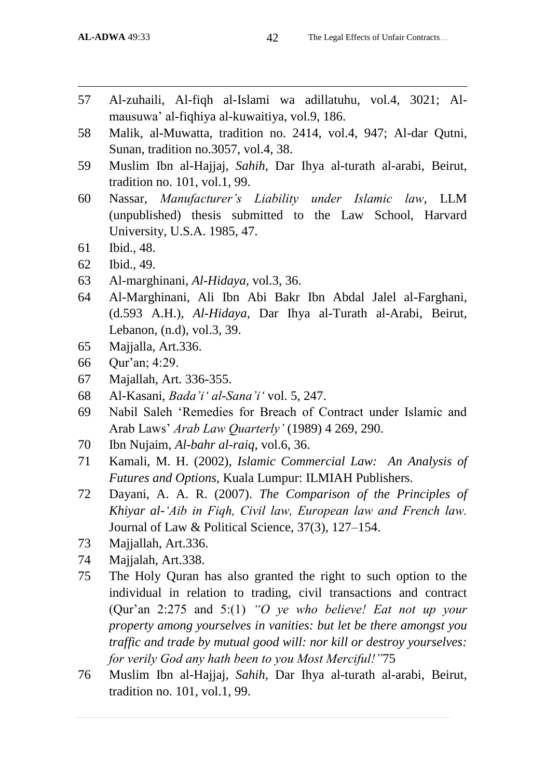- 57 Al-zuhaili, Al-fiqh al-Islami wa adillatuhu, vol.4, 3021; Almausuwa" al-fiqhiya al-kuwaitiya, vol.9, 186.
- 58 Malik, al-Muwatta, tradition no. 2414, vol.4, 947; Al-dar Qutni, Sunan, tradition no.3057, vol.4, 38.
- 59 Muslim Ibn al-Hajjaj, *Sahih,* Dar Ihya al-turath al-arabi, Beirut, tradition no. 101, vol.1, 99.
- 60 Nassar, *Manufacturer"s Liability under Islamic law*, LLM (unpublished) thesis submitted to the Law School, Harvard University, U.S.A. 1985, 47.
- 61 Ibid., 48.
- 62 Ibid., 49.
- 63 Al-marghinani, *Al-Hidaya,* vol.3, 36.
- 64 Al-Marghinani, Ali Ibn Abi Bakr Ibn Abdal Jalel al-Farghani, (d.593 A.H.), *Al-Hidaya,* Dar Ihya al-Turath al-Arabi, Beirut, Lebanon, (n.d), vol.3, 39.
- 65 Majjalla, Art.336.
- 66 Qur"an; 4:29.
- 67 Majallah, Art. 336-355.
- 68 Al-Kasani, *Bada"i" al-Sana"i"* vol. 5, 247.
- 69 Nabil Saleh "Remedies for Breach of Contract under Islamic and Arab Laws" *Arab Law Quarterly"* (1989) 4 269, 290.
- 70 Ibn Nujaim, *Al-bahr al-raiq,* vol.6, 36.
- 71 Kamali, M. H. (2002), *Islamic Commercial Law: An Analysis of Futures and Options,* Kuala Lumpur: ILMIAH Publishers.
- 72 Dayani, A. A. R. (2007). *The Comparison of the Principles of Khiyar al-"Aib in Fiqh, Civil law, European law and French law.*  Journal of Law & Political Science, 37(3), 127–154.
- 73 Majjallah, Art.336.
- 74 Majjalah, Art.338.
- 75 The Holy Quran has also granted the right to such option to the individual in relation to trading, civil transactions and contract (Qur"an 2:275 and 5:(1) *"O ye who believe! Eat not up your property among yourselves in vanities: but let be there amongst you traffic and trade by mutual good will: nor kill or destroy yourselves: for verily God any hath been to you Most Merciful!"*75
- 76 Muslim Ibn al-Hajjaj, *Sahih,* Dar Ihya al-turath al-arabi, Beirut, tradition no. 101, vol.1, 99.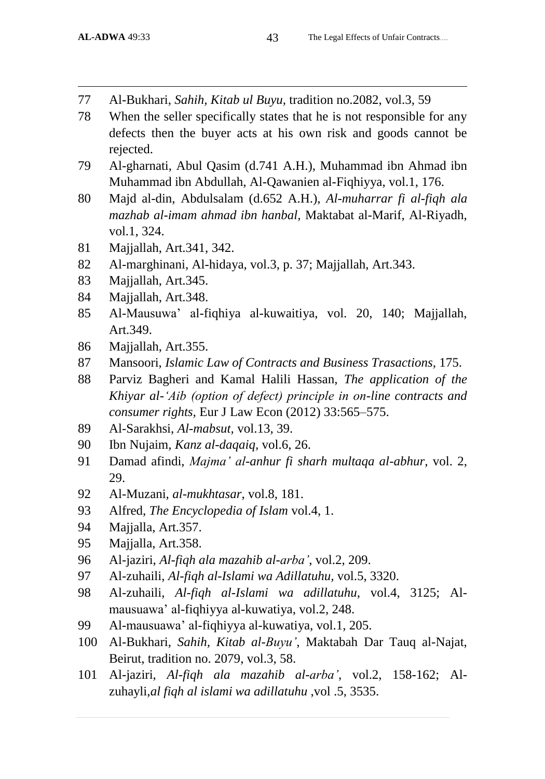- 77 Al-Bukhari, *Sahih, Kitab ul Buyu,* tradition no.2082, vol.3, 59
- 78 When the seller specifically states that he is not responsible for any defects then the buyer acts at his own risk and goods cannot be rejected.
- 79 Al-gharnati, Abul Qasim (d.741 A.H.), Muhammad ibn Ahmad ibn Muhammad ibn Abdullah, Al-Qawanien al-Fiqhiyya, vol.1, 176.
- 80 Majd al-din, Abdulsalam (d.652 A.H.), *Al-muharrar fi al-fiqh ala mazhab al-imam ahmad ibn hanbal,* Maktabat al-Marif, Al-Riyadh, vol.1, 324.
- 81 Majjallah, Art.341, 342.
- 82 Al-marghinani, Al-hidaya, vol.3, p. 37; Majjallah, Art.343.
- 83 Majjallah, Art.345.
- 84 Majjallah, Art.348.
- 85 Al-Mausuwa" al-fiqhiya al-kuwaitiya, vol. 20, 140; Majjallah, Art.349.
- 86 Majjallah, Art.355.
- 87 Mansoori, *Islamic Law of Contracts and Business Trasactions,* 175.
- 88 Parviz Bagheri and Kamal Halili Hassan, *The application of the Khiyar al-"Aib (option of defect) principle in on-line contracts and consumer rights,* Eur J Law Econ (2012) 33:565–575.
- 89 Al-Sarakhsi, *Al-mabsut,* vol.13, 39.
- 90 Ibn Nujaim, *Kanz al-daqaiq,* vol.6, 26.
- 91 Damad afindi, *Majma" al-anhur fi sharh multaqa al-abhur,* vol. 2, 29.
- 92 Al-Muzani, *al-mukhtasar*, vol.8, 181.
- 93 Alfred, *The Encyclopedia of Islam* vol.4, 1.
- 94 Majjalla, Art.357.
- 95 Majjalla, Art.358.
- 96 Al-jaziri, *Al-fiqh ala mazahib al-arba"*, vol.2, 209.
- 97 Al-zuhaili, *Al-fiqh al-Islami wa Adillatuhu,* vol.5, 3320.
- 98 Al-zuhaili, *Al-fiqh al-Islami wa adillatuhu,* vol.4, 3125; Almausuawa" al-fiqhiyya al-kuwatiya, vol.2, 248.
- 99 Al-mausuawa" al-fiqhiyya al-kuwatiya, vol.1, 205.
- 100 Al-Bukhari, *Sahih, Kitab al-Buyu"*, Maktabah Dar Tauq al-Najat, Beirut, tradition no. 2079, vol.3, 58.
- 101 Al-jaziri, *Al-fiqh ala mazahib al-arba"*, vol.2, 158-162; Alzuhayli,*al fiqh al islami wa adillatuhu* ,vol .5, 3535.